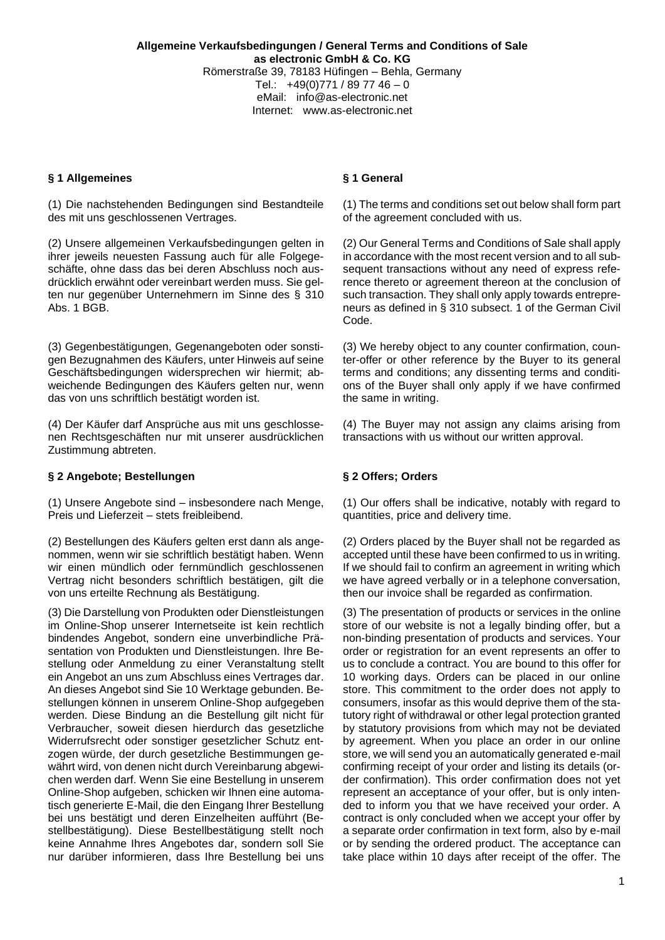## **§ 1 Allgemeines § 1 General**

(1) Die nachstehenden Bedingungen sind Bestandteile des mit uns geschlossenen Vertrages.

(2) Unsere allgemeinen Verkaufsbedingungen gelten in ihrer jeweils neuesten Fassung auch für alle Folgegeschäfte, ohne dass das bei deren Abschluss noch ausdrücklich erwähnt oder vereinbart werden muss. Sie gelten nur gegenüber Unternehmern im Sinne des § 310 Abs. 1 BGB.

(3) Gegenbestätigungen, Gegenangeboten oder sonstigen Bezugnahmen des Käufers, unter Hinweis auf seine Geschäftsbedingungen widersprechen wir hiermit; abweichende Bedingungen des Käufers gelten nur, wenn das von uns schriftlich bestätigt worden ist.

(4) Der Käufer darf Ansprüche aus mit uns geschlossenen Rechtsgeschäften nur mit unserer ausdrücklichen Zustimmung abtreten.

## **§ 2 Angebote; Bestellungen § 2 Offers; Orders**

(1) Unsere Angebote sind – insbesondere nach Menge, Preis und Lieferzeit – stets freibleibend.

(2) Bestellungen des Käufers gelten erst dann als angenommen, wenn wir sie schriftlich bestätigt haben. Wenn wir einen mündlich oder fernmündlich geschlossenen Vertrag nicht besonders schriftlich bestätigen, gilt die von uns erteilte Rechnung als Bestätigung.

(3) Die Darstellung von Produkten oder Dienstleistungen im Online-Shop unserer Internetseite ist kein rechtlich bindendes Angebot, sondern eine unverbindliche Präsentation von Produkten und Dienstleistungen. Ihre Bestellung oder Anmeldung zu einer Veranstaltung stellt ein Angebot an uns zum Abschluss eines Vertrages dar. An dieses Angebot sind Sie 10 Werktage gebunden. Bestellungen können in unserem Online-Shop aufgegeben werden. Diese Bindung an die Bestellung gilt nicht für Verbraucher, soweit diesen hierdurch das gesetzliche Widerrufsrecht oder sonstiger gesetzlicher Schutz entzogen würde, der durch gesetzliche Bestimmungen gewährt wird, von denen nicht durch Vereinbarung abgewichen werden darf. Wenn Sie eine Bestellung in unserem Online-Shop aufgeben, schicken wir Ihnen eine automatisch generierte E-Mail, die den Eingang Ihrer Bestellung bei uns bestätigt und deren Einzelheiten aufführt (Bestellbestätigung). Diese Bestellbestätigung stellt noch keine Annahme Ihres Angebotes dar, sondern soll Sie nur darüber informieren, dass Ihre Bestellung bei uns

(1) The terms and conditions set out below shall form part of the agreement concluded with us.

(2) Our General Terms and Conditions of Sale shall apply in accordance with the most recent version and to all subsequent transactions without any need of express reference thereto or agreement thereon at the conclusion of such transaction. They shall only apply towards entrepreneurs as defined in § 310 subsect. 1 of the German Civil Code.

(3) We hereby object to any counter confirmation, counter-offer or other reference by the Buyer to its general terms and conditions; any dissenting terms and conditions of the Buyer shall only apply if we have confirmed the same in writing.

(4) The Buyer may not assign any claims arising from transactions with us without our written approval.

(1) Our offers shall be indicative, notably with regard to quantities, price and delivery time.

(2) Orders placed by the Buyer shall not be regarded as accepted until these have been confirmed to us in writing. If we should fail to confirm an agreement in writing which we have agreed verbally or in a telephone conversation, then our invoice shall be regarded as confirmation.

(3) The presentation of products or services in the online store of our website is not a legally binding offer, but a non-binding presentation of products and services. Your order or registration for an event represents an offer to us to conclude a contract. You are bound to this offer for 10 working days. Orders can be placed in our online store. This commitment to the order does not apply to consumers, insofar as this would deprive them of the statutory right of withdrawal or other legal protection granted by statutory provisions from which may not be deviated by agreement. When you place an order in our online store, we will send you an automatically generated e-mail confirming receipt of your order and listing its details (order confirmation). This order confirmation does not yet represent an acceptance of your offer, but is only intended to inform you that we have received your order. A contract is only concluded when we accept your offer by a separate order confirmation in text form, also by e-mail or by sending the ordered product. The acceptance can take place within 10 days after receipt of the offer. The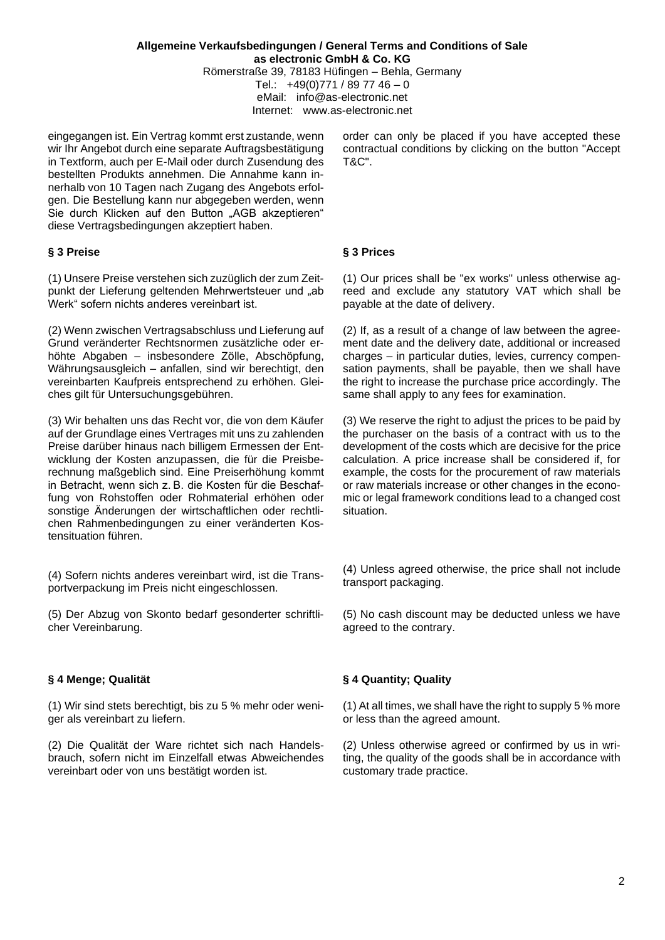eingegangen ist. Ein Vertrag kommt erst zustande, wenn wir Ihr Angebot durch eine separate Auftragsbestätigung in Textform, auch per E-Mail oder durch Zusendung des bestellten Produkts annehmen. Die Annahme kann innerhalb von 10 Tagen nach Zugang des Angebots erfolgen. Die Bestellung kann nur abgegeben werden, wenn Sie durch Klicken auf den Button "AGB akzeptieren" diese Vertragsbedingungen akzeptiert haben.

# **§ 3 Preise § 3 Prices**

(1) Unsere Preise verstehen sich zuzüglich der zum Zeitpunkt der Lieferung geltenden Mehrwertsteuer und "ab Werk" sofern nichts anderes vereinbart ist.

(2) Wenn zwischen Vertragsabschluss und Lieferung auf Grund veränderter Rechtsnormen zusätzliche oder erhöhte Abgaben – insbesondere Zölle, Abschöpfung, Währungsausgleich – anfallen, sind wir berechtigt, den vereinbarten Kaufpreis entsprechend zu erhöhen. Gleiches gilt für Untersuchungsgebühren.

(3) Wir behalten uns das Recht vor, die von dem Käufer auf der Grundlage eines Vertrages mit uns zu zahlenden Preise darüber hinaus nach billigem Ermessen der Entwicklung der Kosten anzupassen, die für die Preisberechnung maßgeblich sind. Eine Preiserhöhung kommt in Betracht, wenn sich z. B. die Kosten für die Beschaffung von Rohstoffen oder Rohmaterial erhöhen oder sonstige Änderungen der wirtschaftlichen oder rechtlichen Rahmenbedingungen zu einer veränderten Kostensituation führen.

(4) Sofern nichts anderes vereinbart wird, ist die Transportverpackung im Preis nicht eingeschlossen.

(5) Der Abzug von Skonto bedarf gesonderter schriftlicher Vereinbarung.

(1) Wir sind stets berechtigt, bis zu 5 % mehr oder weniger als vereinbart zu liefern.

(2) Die Qualität der Ware richtet sich nach Handelsbrauch, sofern nicht im Einzelfall etwas Abweichendes vereinbart oder von uns bestätigt worden ist.

order can only be placed if you have accepted these contractual conditions by clicking on the button "Accept T&C".

(1) Our prices shall be "ex works" unless otherwise agreed and exclude any statutory VAT which shall be payable at the date of delivery.

(2) If, as a result of a change of law between the agreement date and the delivery date, additional or increased charges – in particular duties, levies, currency compensation payments, shall be payable, then we shall have the right to increase the purchase price accordingly. The same shall apply to any fees for examination.

(3) We reserve the right to adjust the prices to be paid by the purchaser on the basis of a contract with us to the development of the costs which are decisive for the price calculation. A price increase shall be considered if, for example, the costs for the procurement of raw materials or raw materials increase or other changes in the economic or legal framework conditions lead to a changed cost situation.

(4) Unless agreed otherwise, the price shall not include transport packaging.

(5) No cash discount may be deducted unless we have agreed to the contrary.

# **§ 4 Menge; Qualität § 4 Quantity; Quality**

(1) At all times, we shall have the right to supply 5 % more or less than the agreed amount.

(2) Unless otherwise agreed or confirmed by us in writing, the quality of the goods shall be in accordance with customary trade practice.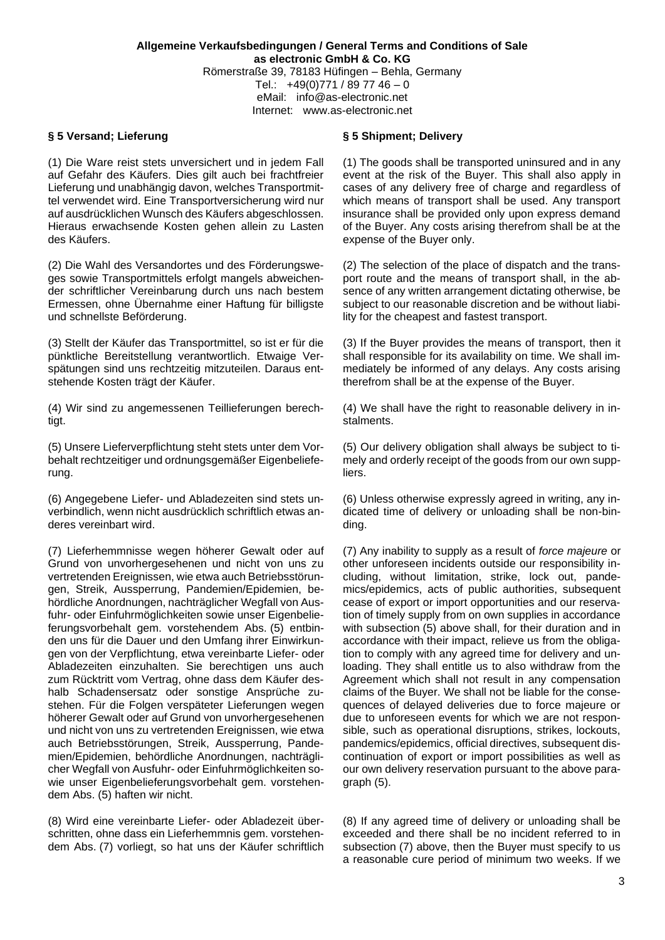# **§ 5 Versand; Lieferung § 5 Shipment; Delivery**

(1) Die Ware reist stets unversichert und in jedem Fall auf Gefahr des Käufers. Dies gilt auch bei frachtfreier Lieferung und unabhängig davon, welches Transportmittel verwendet wird. Eine Transportversicherung wird nur auf ausdrücklichen Wunsch des Käufers abgeschlossen. Hieraus erwachsende Kosten gehen allein zu Lasten des Käufers.

(2) Die Wahl des Versandortes und des Förderungsweges sowie Transportmittels erfolgt mangels abweichender schriftlicher Vereinbarung durch uns nach bestem Ermessen, ohne Übernahme einer Haftung für billigste und schnellste Beförderung.

(3) Stellt der Käufer das Transportmittel, so ist er für die pünktliche Bereitstellung verantwortlich. Etwaige Verspätungen sind uns rechtzeitig mitzuteilen. Daraus entstehende Kosten trägt der Käufer.

(4) Wir sind zu angemessenen Teillieferungen berechtigt.

(5) Unsere Lieferverpflichtung steht stets unter dem Vorbehalt rechtzeitiger und ordnungsgemäßer Eigenbelieferung.

(6) Angegebene Liefer- und Abladezeiten sind stets unverbindlich, wenn nicht ausdrücklich schriftlich etwas anderes vereinbart wird.

(7) Lieferhemmnisse wegen höherer Gewalt oder auf Grund von unvorhergesehenen und nicht von uns zu vertretenden Ereignissen, wie etwa auch Betriebsstörungen, Streik, Aussperrung, Pandemien/Epidemien, behördliche Anordnungen, nachträglicher Wegfall von Ausfuhr- oder Einfuhrmöglichkeiten sowie unser Eigenbelieferungsvorbehalt gem. vorstehendem Abs. (5) entbinden uns für die Dauer und den Umfang ihrer Einwirkungen von der Verpflichtung, etwa vereinbarte Liefer- oder Abladezeiten einzuhalten. Sie berechtigen uns auch zum Rücktritt vom Vertrag, ohne dass dem Käufer deshalb Schadensersatz oder sonstige Ansprüche zustehen. Für die Folgen verspäteter Lieferungen wegen höherer Gewalt oder auf Grund von unvorhergesehenen und nicht von uns zu vertretenden Ereignissen, wie etwa auch Betriebsstörungen, Streik, Aussperrung, Pandemien/Epidemien, behördliche Anordnungen, nachträglicher Wegfall von Ausfuhr- oder Einfuhrmöglichkeiten sowie unser Eigenbelieferungsvorbehalt gem. vorstehendem Abs. (5) haften wir nicht.

(8) Wird eine vereinbarte Liefer- oder Abladezeit überschritten, ohne dass ein Lieferhemmnis gem. vorstehendem Abs. (7) vorliegt, so hat uns der Käufer schriftlich

(1) The goods shall be transported uninsured and in any event at the risk of the Buyer. This shall also apply in cases of any delivery free of charge and regardless of which means of transport shall be used. Any transport insurance shall be provided only upon express demand of the Buyer. Any costs arising therefrom shall be at the expense of the Buyer only.

(2) The selection of the place of dispatch and the transport route and the means of transport shall, in the absence of any written arrangement dictating otherwise, be subject to our reasonable discretion and be without liability for the cheapest and fastest transport.

(3) If the Buyer provides the means of transport, then it shall responsible for its availability on time. We shall immediately be informed of any delays. Any costs arising therefrom shall be at the expense of the Buyer.

(4) We shall have the right to reasonable delivery in instalments.

(5) Our delivery obligation shall always be subject to timely and orderly receipt of the goods from our own suppliers.

(6) Unless otherwise expressly agreed in writing, any indicated time of delivery or unloading shall be non-binding.

(7) Any inability to supply as a result of *force majeure* or other unforeseen incidents outside our responsibility including, without limitation, strike, lock out, pandemics/epidemics, acts of public authorities, subsequent cease of export or import opportunities and our reservation of timely supply from on own supplies in accordance with subsection (5) above shall, for their duration and in accordance with their impact, relieve us from the obligation to comply with any agreed time for delivery and unloading. They shall entitle us to also withdraw from the Agreement which shall not result in any compensation claims of the Buyer. We shall not be liable for the consequences of delayed deliveries due to force majeure or due to unforeseen events for which we are not responsible, such as operational disruptions, strikes, lockouts, pandemics/epidemics, official directives, subsequent discontinuation of export or import possibilities as well as our own delivery reservation pursuant to the above paragraph (5).

(8) If any agreed time of delivery or unloading shall be exceeded and there shall be no incident referred to in subsection (7) above, then the Buyer must specify to us a reasonable cure period of minimum two weeks. If we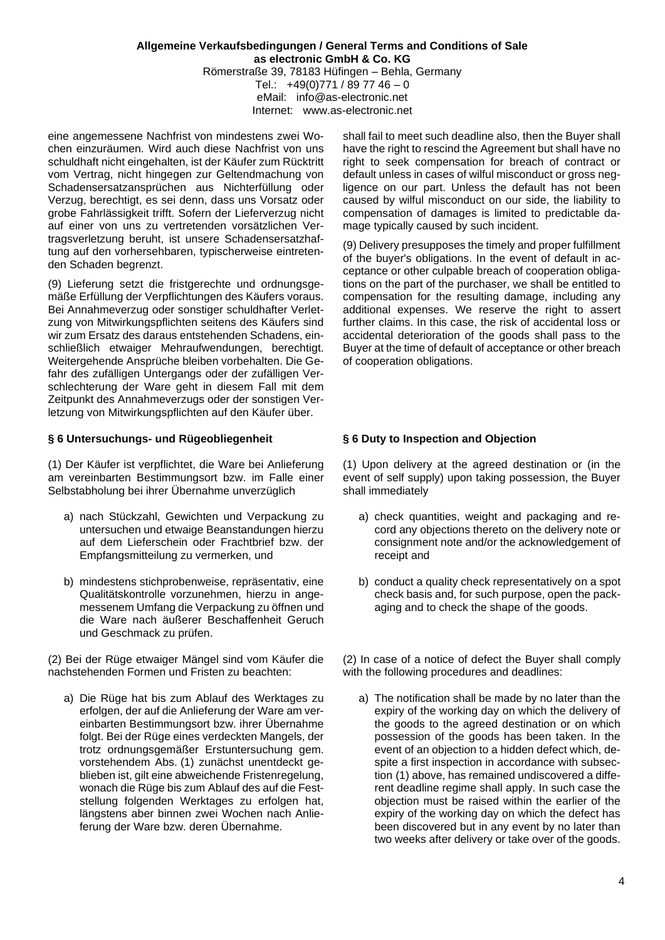eine angemessene Nachfrist von mindestens zwei Wochen einzuräumen. Wird auch diese Nachfrist von uns schuldhaft nicht eingehalten, ist der Käufer zum Rücktritt vom Vertrag, nicht hingegen zur Geltendmachung von Schadensersatzansprüchen aus Nichterfüllung oder Verzug, berechtigt, es sei denn, dass uns Vorsatz oder grobe Fahrlässigkeit trifft. Sofern der Lieferverzug nicht auf einer von uns zu vertretenden vorsätzlichen Vertragsverletzung beruht, ist unsere Schadensersatzhaftung auf den vorhersehbaren, typischerweise eintretenden Schaden begrenzt.

(9) Lieferung setzt die fristgerechte und ordnungsgemäße Erfüllung der Verpflichtungen des Käufers voraus. Bei Annahmeverzug oder sonstiger schuldhafter Verletzung von Mitwirkungspflichten seitens des Käufers sind wir zum Ersatz des daraus entstehenden Schadens, einschließlich etwaiger Mehraufwendungen, berechtigt. Weitergehende Ansprüche bleiben vorbehalten. Die Gefahr des zufälligen Untergangs oder der zufälligen Verschlechterung der Ware geht in diesem Fall mit dem Zeitpunkt des Annahmeverzugs oder der sonstigen Verletzung von Mitwirkungspflichten auf den Käufer über.

## **§ 6 Untersuchungs- und Rügeobliegenheit § 6 Duty to Inspection and Objection**

(1) Der Käufer ist verpflichtet, die Ware bei Anlieferung am vereinbarten Bestimmungsort bzw. im Falle einer Selbstabholung bei ihrer Übernahme unverzüglich

- a) nach Stückzahl, Gewichten und Verpackung zu untersuchen und etwaige Beanstandungen hierzu auf dem Lieferschein oder Frachtbrief bzw. der Empfangsmitteilung zu vermerken, und
- b) mindestens stichprobenweise, repräsentativ, eine Qualitätskontrolle vorzunehmen, hierzu in angemessenem Umfang die Verpackung zu öffnen und die Ware nach äußerer Beschaffenheit Geruch und Geschmack zu prüfen.

(2) Bei der Rüge etwaiger Mängel sind vom Käufer die nachstehenden Formen und Fristen zu beachten:

a) Die Rüge hat bis zum Ablauf des Werktages zu erfolgen, der auf die Anlieferung der Ware am vereinbarten Bestimmungsort bzw. ihrer Übernahme folgt. Bei der Rüge eines verdeckten Mangels, der trotz ordnungsgemäßer Erstuntersuchung gem. vorstehendem Abs. (1) zunächst unentdeckt geblieben ist, gilt eine abweichende Fristenregelung, wonach die Rüge bis zum Ablauf des auf die Feststellung folgenden Werktages zu erfolgen hat, längstens aber binnen zwei Wochen nach Anlieferung der Ware bzw. deren Übernahme.

shall fail to meet such deadline also, then the Buyer shall have the right to rescind the Agreement but shall have no right to seek compensation for breach of contract or default unless in cases of wilful misconduct or gross negligence on our part. Unless the default has not been caused by wilful misconduct on our side, the liability to compensation of damages is limited to predictable damage typically caused by such incident.

(9) Delivery presupposes the timely and proper fulfillment of the buyer's obligations. In the event of default in acceptance or other culpable breach of cooperation obligations on the part of the purchaser, we shall be entitled to compensation for the resulting damage, including any additional expenses. We reserve the right to assert further claims. In this case, the risk of accidental loss or accidental deterioration of the goods shall pass to the Buyer at the time of default of acceptance or other breach of cooperation obligations.

(1) Upon delivery at the agreed destination or (in the event of self supply) upon taking possession, the Buyer shall immediately

- a) check quantities, weight and packaging and record any objections thereto on the delivery note or consignment note and/or the acknowledgement of receipt and
- b) conduct a quality check representatively on a spot check basis and, for such purpose, open the packaging and to check the shape of the goods.

(2) In case of a notice of defect the Buyer shall comply with the following procedures and deadlines:

a) The notification shall be made by no later than the expiry of the working day on which the delivery of the goods to the agreed destination or on which possession of the goods has been taken. In the event of an objection to a hidden defect which, despite a first inspection in accordance with subsection (1) above, has remained undiscovered a different deadline regime shall apply. In such case the objection must be raised within the earlier of the expiry of the working day on which the defect has been discovered but in any event by no later than two weeks after delivery or take over of the goods.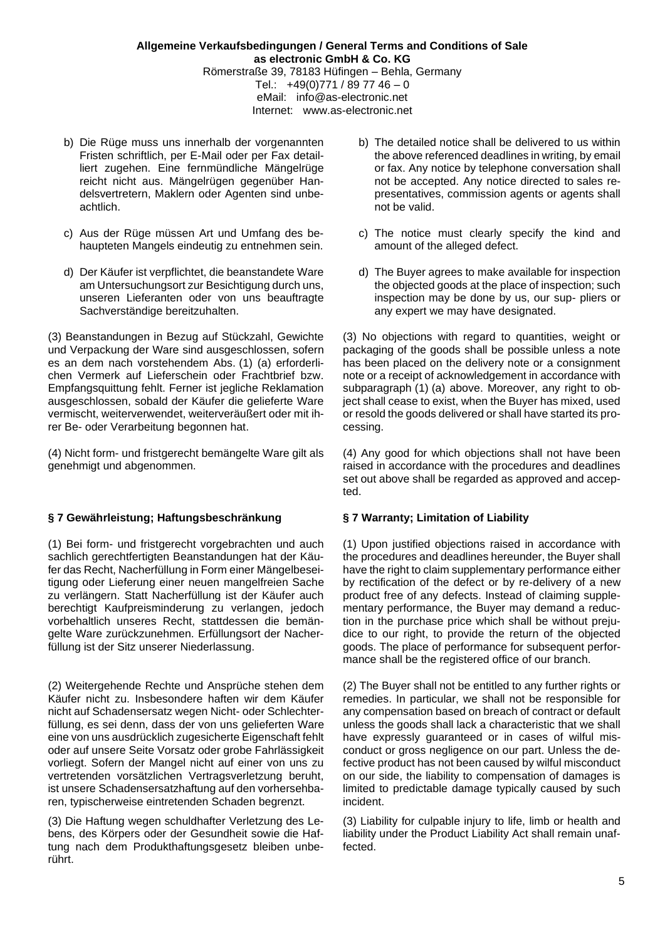- b) Die Rüge muss uns innerhalb der vorgenannten Fristen schriftlich, per E-Mail oder per Fax detailliert zugehen. Eine fernmündliche Mängelrüge reicht nicht aus. Mängelrügen gegenüber Handelsvertretern, Maklern oder Agenten sind unbeachtlich.
- c) Aus der Rüge müssen Art und Umfang des behaupteten Mangels eindeutig zu entnehmen sein.
- d) Der Käufer ist verpflichtet, die beanstandete Ware am Untersuchungsort zur Besichtigung durch uns, unseren Lieferanten oder von uns beauftragte Sachverständige bereitzuhalten.

(3) Beanstandungen in Bezug auf Stückzahl, Gewichte und Verpackung der Ware sind ausgeschlossen, sofern es an dem nach vorstehendem Abs. (1) (a) erforderlichen Vermerk auf Lieferschein oder Frachtbrief bzw. Empfangsquittung fehlt. Ferner ist jegliche Reklamation ausgeschlossen, sobald der Käufer die gelieferte Ware vermischt, weiterverwendet, weiterveräußert oder mit ihrer Be- oder Verarbeitung begonnen hat.

(4) Nicht form- und fristgerecht bemängelte Ware gilt als genehmigt und abgenommen.

# **§ 7 Gewährleistung; Haftungsbeschränkung § 7 Warranty; Limitation of Liability**

(1) Bei form- und fristgerecht vorgebrachten und auch sachlich gerechtfertigten Beanstandungen hat der Käufer das Recht, Nacherfüllung in Form einer Mängelbeseitigung oder Lieferung einer neuen mangelfreien Sache zu verlängern. Statt Nacherfüllung ist der Käufer auch berechtigt Kaufpreisminderung zu verlangen, jedoch vorbehaltlich unseres Recht, stattdessen die bemängelte Ware zurückzunehmen. Erfüllungsort der Nacherfüllung ist der Sitz unserer Niederlassung.

(2) Weitergehende Rechte und Ansprüche stehen dem Käufer nicht zu. Insbesondere haften wir dem Käufer nicht auf Schadensersatz wegen Nicht- oder Schlechterfüllung, es sei denn, dass der von uns gelieferten Ware eine von uns ausdrücklich zugesicherte Eigenschaft fehlt oder auf unsere Seite Vorsatz oder grobe Fahrlässigkeit vorliegt. Sofern der Mangel nicht auf einer von uns zu vertretenden vorsätzlichen Vertragsverletzung beruht, ist unsere Schadensersatzhaftung auf den vorhersehbaren, typischerweise eintretenden Schaden begrenzt.

(3) Die Haftung wegen schuldhafter Verletzung des Lebens, des Körpers oder der Gesundheit sowie die Haftung nach dem Produkthaftungsgesetz bleiben unberührt.

- b) The detailed notice shall be delivered to us within the above referenced deadlines in writing, by email or fax. Any notice by telephone conversation shall not be accepted. Any notice directed to sales representatives, commission agents or agents shall not be valid.
- c) The notice must clearly specify the kind and amount of the alleged defect.
- d) The Buyer agrees to make available for inspection the objected goods at the place of inspection; such inspection may be done by us, our sup- pliers or any expert we may have designated.

(3) No objections with regard to quantities, weight or packaging of the goods shall be possible unless a note has been placed on the delivery note or a consignment note or a receipt of acknowledgement in accordance with subparagraph (1) (a) above. Moreover, any right to object shall cease to exist, when the Buyer has mixed, used or resold the goods delivered or shall have started its processing.

(4) Any good for which objections shall not have been raised in accordance with the procedures and deadlines set out above shall be regarded as approved and accepted.

(1) Upon justified objections raised in accordance with the procedures and deadlines hereunder, the Buyer shall have the right to claim supplementary performance either by rectification of the defect or by re-delivery of a new product free of any defects. Instead of claiming supplementary performance, the Buyer may demand a reduction in the purchase price which shall be without prejudice to our right, to provide the return of the objected goods. The place of performance for subsequent performance shall be the registered office of our branch.

(2) The Buyer shall not be entitled to any further rights or remedies. In particular, we shall not be responsible for any compensation based on breach of contract or default unless the goods shall lack a characteristic that we shall have expressly guaranteed or in cases of wilful misconduct or gross negligence on our part. Unless the defective product has not been caused by wilful misconduct on our side, the liability to compensation of damages is limited to predictable damage typically caused by such incident.

(3) Liability for culpable injury to life, limb or health and liability under the Product Liability Act shall remain unaffected.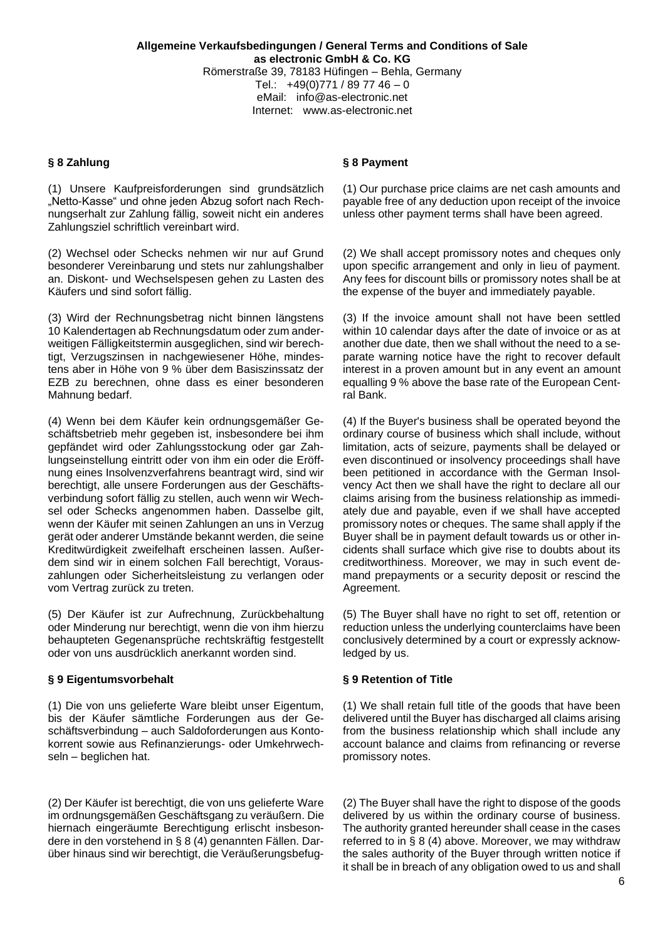(1) Unsere Kaufpreisforderungen sind grundsätzlich "Netto-Kasse" und ohne jeden Abzug sofort nach Rechnungserhalt zur Zahlung fällig, soweit nicht ein anderes Zahlungsziel schriftlich vereinbart wird.

(2) Wechsel oder Schecks nehmen wir nur auf Grund besonderer Vereinbarung und stets nur zahlungshalber an. Diskont- und Wechselspesen gehen zu Lasten des Käufers und sind sofort fällig.

(3) Wird der Rechnungsbetrag nicht binnen längstens 10 Kalendertagen ab Rechnungsdatum oder zum anderweitigen Fälligkeitstermin ausgeglichen, sind wir berechtigt, Verzugszinsen in nachgewiesener Höhe, mindestens aber in Höhe von 9 % über dem Basiszinssatz der EZB zu berechnen, ohne dass es einer besonderen Mahnung bedarf.

(4) Wenn bei dem Käufer kein ordnungsgemäßer Geschäftsbetrieb mehr gegeben ist, insbesondere bei ihm gepfändet wird oder Zahlungsstockung oder gar Zahlungseinstellung eintritt oder von ihm ein oder die Eröffnung eines Insolvenzverfahrens beantragt wird, sind wir berechtigt, alle unsere Forderungen aus der Geschäftsverbindung sofort fällig zu stellen, auch wenn wir Wechsel oder Schecks angenommen haben. Dasselbe gilt, wenn der Käufer mit seinen Zahlungen an uns in Verzug gerät oder anderer Umstände bekannt werden, die seine Kreditwürdigkeit zweifelhaft erscheinen lassen. Außerdem sind wir in einem solchen Fall berechtigt, Vorauszahlungen oder Sicherheitsleistung zu verlangen oder vom Vertrag zurück zu treten.

(5) Der Käufer ist zur Aufrechnung, Zurückbehaltung oder Minderung nur berechtigt, wenn die von ihm hierzu behaupteten Gegenansprüche rechtskräftig festgestellt oder von uns ausdrücklich anerkannt worden sind.

# **§ 9 Eigentumsvorbehalt § 9 Retention of Title**

(1) Die von uns gelieferte Ware bleibt unser Eigentum, bis der Käufer sämtliche Forderungen aus der Geschäftsverbindung – auch Saldoforderungen aus Kontokorrent sowie aus Refinanzierungs- oder Umkehrwechseln – beglichen hat.

(2) Der Käufer ist berechtigt, die von uns gelieferte Ware im ordnungsgemäßen Geschäftsgang zu veräußern. Die hiernach eingeräumte Berechtigung erlischt insbesondere in den vorstehend in § 8 (4) genannten Fällen. Darüber hinaus sind wir berechtigt, die Veräußerungsbefug-

## **§ 8 Zahlung § 8 Payment**

(1) Our purchase price claims are net cash amounts and payable free of any deduction upon receipt of the invoice unless other payment terms shall have been agreed.

(2) We shall accept promissory notes and cheques only upon specific arrangement and only in lieu of payment. Any fees for discount bills or promissory notes shall be at the expense of the buyer and immediately payable.

(3) If the invoice amount shall not have been settled within 10 calendar days after the date of invoice or as at another due date, then we shall without the need to a separate warning notice have the right to recover default interest in a proven amount but in any event an amount equalling 9 % above the base rate of the European Central Bank.

(4) If the Buyer's business shall be operated beyond the ordinary course of business which shall include, without limitation, acts of seizure, payments shall be delayed or even discontinued or insolvency proceedings shall have been petitioned in accordance with the German Insolvency Act then we shall have the right to declare all our claims arising from the business relationship as immediately due and payable, even if we shall have accepted promissory notes or cheques. The same shall apply if the Buyer shall be in payment default towards us or other incidents shall surface which give rise to doubts about its creditworthiness. Moreover, we may in such event demand prepayments or a security deposit or rescind the Agreement.

(5) The Buyer shall have no right to set off, retention or reduction unless the underlying counterclaims have been conclusively determined by a court or expressly acknowledged by us.

(1) We shall retain full title of the goods that have been delivered until the Buyer has discharged all claims arising from the business relationship which shall include any account balance and claims from refinancing or reverse promissory notes.

(2) The Buyer shall have the right to dispose of the goods delivered by us within the ordinary course of business. The authority granted hereunder shall cease in the cases referred to in § 8 (4) above. Moreover, we may withdraw the sales authority of the Buyer through written notice if it shall be in breach of any obligation owed to us and shall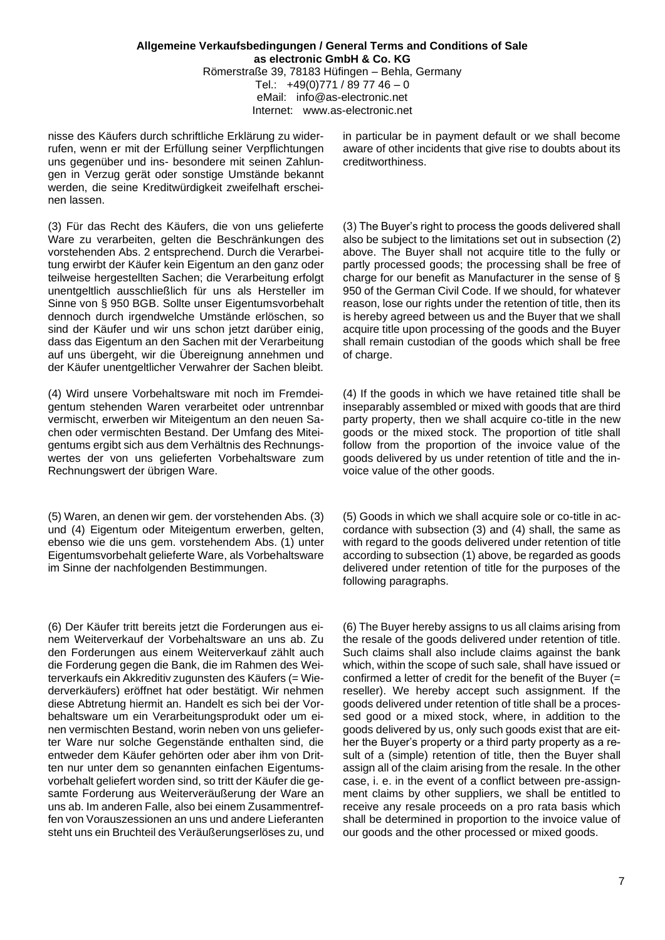nisse des Käufers durch schriftliche Erklärung zu widerrufen, wenn er mit der Erfüllung seiner Verpflichtungen uns gegenüber und ins- besondere mit seinen Zahlungen in Verzug gerät oder sonstige Umstände bekannt werden, die seine Kreditwürdigkeit zweifelhaft erscheinen lassen.

(3) Für das Recht des Käufers, die von uns gelieferte Ware zu verarbeiten, gelten die Beschränkungen des vorstehenden Abs. 2 entsprechend. Durch die Verarbeitung erwirbt der Käufer kein Eigentum an den ganz oder teilweise hergestellten Sachen; die Verarbeitung erfolgt unentgeltlich ausschließlich für uns als Hersteller im Sinne von § 950 BGB. Sollte unser Eigentumsvorbehalt dennoch durch irgendwelche Umstände erlöschen, so sind der Käufer und wir uns schon jetzt darüber einig, dass das Eigentum an den Sachen mit der Verarbeitung auf uns übergeht, wir die Übereignung annehmen und der Käufer unentgeltlicher Verwahrer der Sachen bleibt.

(4) Wird unsere Vorbehaltsware mit noch im Fremdeigentum stehenden Waren verarbeitet oder untrennbar vermischt, erwerben wir Miteigentum an den neuen Sachen oder vermischten Bestand. Der Umfang des Miteigentums ergibt sich aus dem Verhältnis des Rechnungswertes der von uns gelieferten Vorbehaltsware zum Rechnungswert der übrigen Ware.

(5) Waren, an denen wir gem. der vorstehenden Abs. (3) und (4) Eigentum oder Miteigentum erwerben, gelten, ebenso wie die uns gem. vorstehendem Abs. (1) unter Eigentumsvorbehalt gelieferte Ware, als Vorbehaltsware im Sinne der nachfolgenden Bestimmungen.

(6) Der Käufer tritt bereits jetzt die Forderungen aus einem Weiterverkauf der Vorbehaltsware an uns ab. Zu den Forderungen aus einem Weiterverkauf zählt auch die Forderung gegen die Bank, die im Rahmen des Weiterverkaufs ein Akkreditiv zugunsten des Käufers (= Wiederverkäufers) eröffnet hat oder bestätigt. Wir nehmen diese Abtretung hiermit an. Handelt es sich bei der Vorbehaltsware um ein Verarbeitungsprodukt oder um einen vermischten Bestand, worin neben von uns gelieferter Ware nur solche Gegenstände enthalten sind, die entweder dem Käufer gehörten oder aber ihm von Dritten nur unter dem so genannten einfachen Eigentumsvorbehalt geliefert worden sind, so tritt der Käufer die gesamte Forderung aus Weiterveräußerung der Ware an uns ab. Im anderen Falle, also bei einem Zusammentreffen von Vorauszessionen an uns und andere Lieferanten steht uns ein Bruchteil des Veräußerungserlöses zu, und

in particular be in payment default or we shall become aware of other incidents that give rise to doubts about its creditworthiness.

(3) The Buyer's right to process the goods delivered shall also be subject to the limitations set out in subsection (2) above. The Buyer shall not acquire title to the fully or partly processed goods; the processing shall be free of charge for our benefit as Manufacturer in the sense of § 950 of the German Civil Code. If we should, for whatever reason, lose our rights under the retention of title, then its is hereby agreed between us and the Buyer that we shall acquire title upon processing of the goods and the Buyer shall remain custodian of the goods which shall be free of charge.

(4) If the goods in which we have retained title shall be inseparably assembled or mixed with goods that are third party property, then we shall acquire co-title in the new goods or the mixed stock. The proportion of title shall follow from the proportion of the invoice value of the goods delivered by us under retention of title and the invoice value of the other goods.

(5) Goods in which we shall acquire sole or co-title in accordance with subsection (3) and (4) shall, the same as with regard to the goods delivered under retention of title according to subsection (1) above, be regarded as goods delivered under retention of title for the purposes of the following paragraphs.

(6) The Buyer hereby assigns to us all claims arising from the resale of the goods delivered under retention of title. Such claims shall also include claims against the bank which, within the scope of such sale, shall have issued or confirmed a letter of credit for the benefit of the Buyer (= reseller). We hereby accept such assignment. If the goods delivered under retention of title shall be a processed good or a mixed stock, where, in addition to the goods delivered by us, only such goods exist that are either the Buyer's property or a third party property as a result of a (simple) retention of title, then the Buyer shall assign all of the claim arising from the resale. In the other case, i. e. in the event of a conflict between pre-assignment claims by other suppliers, we shall be entitled to receive any resale proceeds on a pro rata basis which shall be determined in proportion to the invoice value of our goods and the other processed or mixed goods.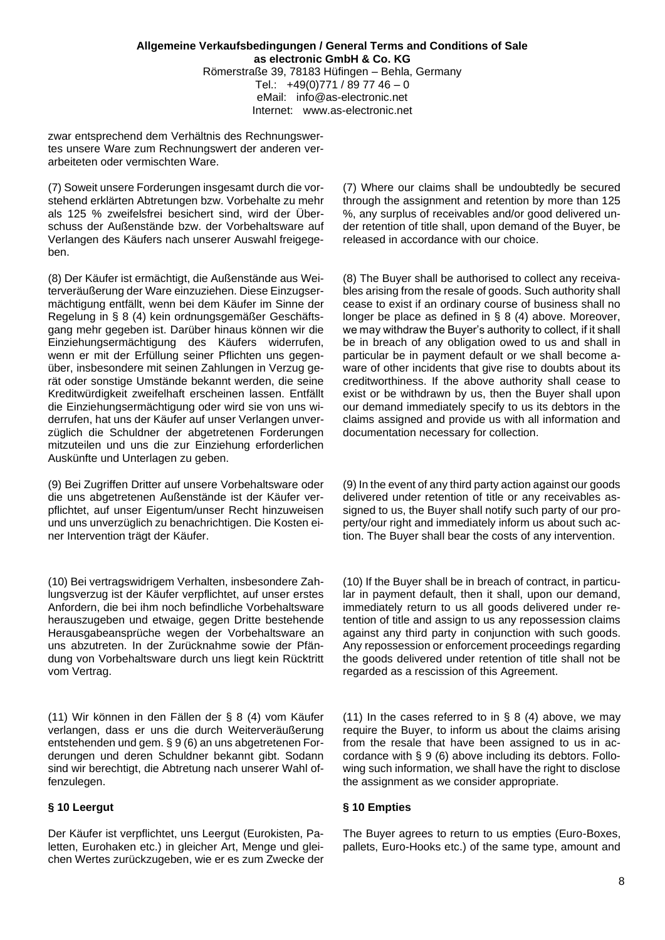zwar entsprechend dem Verhältnis des Rechnungswertes unsere Ware zum Rechnungswert der anderen verarbeiteten oder vermischten Ware.

(7) Soweit unsere Forderungen insgesamt durch die vorstehend erklärten Abtretungen bzw. Vorbehalte zu mehr als 125 % zweifelsfrei besichert sind, wird der Überschuss der Außenstände bzw. der Vorbehaltsware auf Verlangen des Käufers nach unserer Auswahl freigegeben.

(8) Der Käufer ist ermächtigt, die Außenstände aus Weiterveräußerung der Ware einzuziehen. Diese Einzugsermächtigung entfällt, wenn bei dem Käufer im Sinne der Regelung in § 8 (4) kein ordnungsgemäßer Geschäftsgang mehr gegeben ist. Darüber hinaus können wir die Einziehungsermächtigung des Käufers widerrufen, wenn er mit der Erfüllung seiner Pflichten uns gegenüber, insbesondere mit seinen Zahlungen in Verzug gerät oder sonstige Umstände bekannt werden, die seine Kreditwürdigkeit zweifelhaft erscheinen lassen. Entfällt die Einziehungsermächtigung oder wird sie von uns widerrufen, hat uns der Käufer auf unser Verlangen unverzüglich die Schuldner der abgetretenen Forderungen mitzuteilen und uns die zur Einziehung erforderlichen Auskünfte und Unterlagen zu geben.

(9) Bei Zugriffen Dritter auf unsere Vorbehaltsware oder die uns abgetretenen Außenstände ist der Käufer verpflichtet, auf unser Eigentum/unser Recht hinzuweisen und uns unverzüglich zu benachrichtigen. Die Kosten einer Intervention trägt der Käufer.

(10) Bei vertragswidrigem Verhalten, insbesondere Zahlungsverzug ist der Käufer verpflichtet, auf unser erstes Anfordern, die bei ihm noch befindliche Vorbehaltsware herauszugeben und etwaige, gegen Dritte bestehende Herausgabeansprüche wegen der Vorbehaltsware an uns abzutreten. In der Zurücknahme sowie der Pfändung von Vorbehaltsware durch uns liegt kein Rücktritt vom Vertrag.

(11) Wir können in den Fällen der § 8 (4) vom Käufer verlangen, dass er uns die durch Weiterveräußerung entstehenden und gem. § 9 (6) an uns abgetretenen Forderungen und deren Schuldner bekannt gibt. Sodann sind wir berechtigt, die Abtretung nach unserer Wahl offenzulegen.

Der Käufer ist verpflichtet, uns Leergut (Eurokisten, Paletten, Eurohaken etc.) in gleicher Art, Menge und gleichen Wertes zurückzugeben, wie er es zum Zwecke der (7) Where our claims shall be undoubtedly be secured through the assignment and retention by more than 125 %, any surplus of receivables and/or good delivered under retention of title shall, upon demand of the Buyer, be released in accordance with our choice.

(8) The Buyer shall be authorised to collect any receivables arising from the resale of goods. Such authority shall cease to exist if an ordinary course of business shall no longer be place as defined in § 8 (4) above. Moreover, we may withdraw the Buyer's authority to collect, if it shall be in breach of any obligation owed to us and shall in particular be in payment default or we shall become aware of other incidents that give rise to doubts about its creditworthiness. If the above authority shall cease to exist or be withdrawn by us, then the Buyer shall upon our demand immediately specify to us its debtors in the claims assigned and provide us with all information and documentation necessary for collection.

(9) In the event of any third party action against our goods delivered under retention of title or any receivables assigned to us, the Buyer shall notify such party of our property/our right and immediately inform us about such action. The Buyer shall bear the costs of any intervention.

(10) If the Buyer shall be in breach of contract, in particular in payment default, then it shall, upon our demand, immediately return to us all goods delivered under retention of title and assign to us any repossession claims against any third party in conjunction with such goods. Any repossession or enforcement proceedings regarding the goods delivered under retention of title shall not be regarded as a rescission of this Agreement.

(11) In the cases referred to in  $\delta$  8 (4) above, we may require the Buyer, to inform us about the claims arising from the resale that have been assigned to us in accordance with § 9 (6) above including its debtors. Following such information, we shall have the right to disclose the assignment as we consider appropriate.

# **§ 10 Leergut § 10 Empties**

The Buyer agrees to return to us empties (Euro-Boxes, pallets, Euro-Hooks etc.) of the same type, amount and